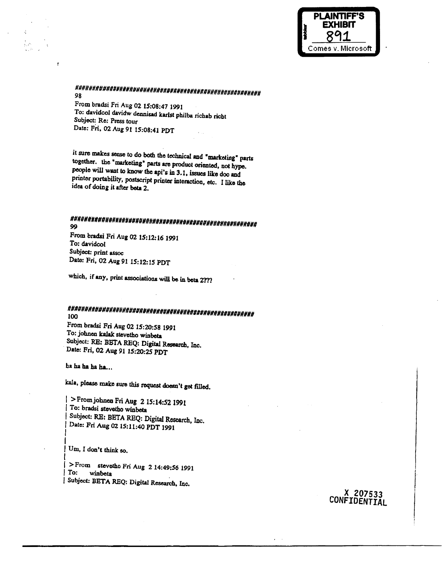

## 98

From bradsi Fri Aug 02 15:08:47 1991 To: davidcol davidw dennisad karlst philba richab richt Subject: Re: Press tour Date: Fri, 02 Aug 91 15:08:41 PDT

it sure makes sense to do both the technical and "marketing" parts together. the "marketing" parts are product oriented, not hype. people will want to know the api's in 3.1, issues like doc and printer portability, postscript printer interaction, etc. I like the idea of doing it after beta 2.

# 99

From bradsi Fri Aug 02 15:12:16 1991 To: davidcol Subject: print assoc Date: Fri, 02 Aug 91 15:12:15 PDT

which, if any, print associations will be in beta 2???

### 100

From bradsi Fri Aug 02 15:20:58 1991 To: johnen kalak stevetho winbeta Subject: RE: BETA REQ: Digital Research, Inc. Date: Fri, 02 Aug 91 15:20:25 PDT

ha ha ha ha ha...

kala, please make sure this request doesn't get filled.

| > From johnen Fri Aug 2 15:14:52 1991 | To: bradsi stevetho winbeta Subject: RE: BETA REQ: Digital Research, Inc. Date: Fri Aug 02 15:11:40 PDT 1991

Um, I don't think so.

>From stevetho Fri Aug 2 14:49:56 1991 To: winbeta Subject: BETA REQ: Digital Research, Inc.

> X 207533 CONFIDENTIAL